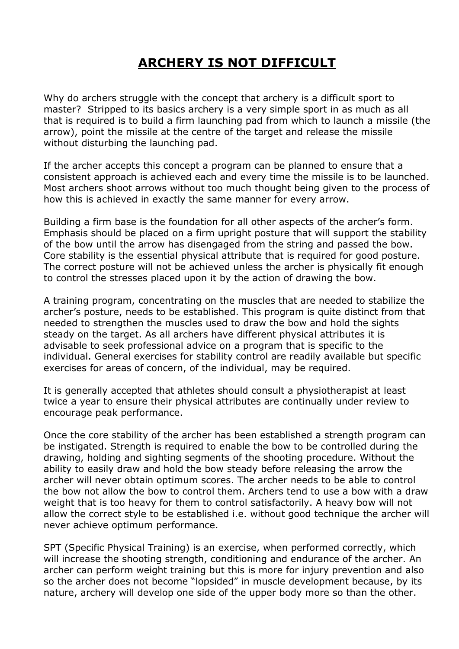## **ARCHERY IS NOT DIFFICULT**

Why do archers struggle with the concept that archery is a difficult sport to master? Stripped to its basics archery is a very simple sport in as much as all that is required is to build a firm launching pad from which to launch a missile (the arrow), point the missile at the centre of the target and release the missile without disturbing the launching pad.

If the archer accepts this concept a program can be planned to ensure that a consistent approach is achieved each and every time the missile is to be launched. Most archers shoot arrows without too much thought being given to the process of how this is achieved in exactly the same manner for every arrow.

Building a firm base is the foundation for all other aspects of the archer's form. Emphasis should be placed on a firm upright posture that will support the stability of the bow until the arrow has disengaged from the string and passed the bow. Core stability is the essential physical attribute that is required for good posture. The correct posture will not be achieved unless the archer is physically fit enough to control the stresses placed upon it by the action of drawing the bow.

A training program, concentrating on the muscles that are needed to stabilize the archer's posture, needs to be established. This program is quite distinct from that needed to strengthen the muscles used to draw the bow and hold the sights steady on the target. As all archers have different physical attributes it is advisable to seek professional advice on a program that is specific to the individual. General exercises for stability control are readily available but specific exercises for areas of concern, of the individual, may be required.

It is generally accepted that athletes should consult a physiotherapist at least twice a year to ensure their physical attributes are continually under review to encourage peak performance.

Once the core stability of the archer has been established a strength program can be instigated. Strength is required to enable the bow to be controlled during the drawing, holding and sighting segments of the shooting procedure. Without the ability to easily draw and hold the bow steady before releasing the arrow the archer will never obtain optimum scores. The archer needs to be able to control the bow not allow the bow to control them. Archers tend to use a bow with a draw weight that is too heavy for them to control satisfactorily. A heavy bow will not allow the correct style to be established i.e. without good technique the archer will never achieve optimum performance.

SPT (Specific Physical Training) is an exercise, when performed correctly, which will increase the shooting strength, conditioning and endurance of the archer. An archer can perform weight training but this is more for injury prevention and also so the archer does not become "lopsided" in muscle development because, by its nature, archery will develop one side of the upper body more so than the other.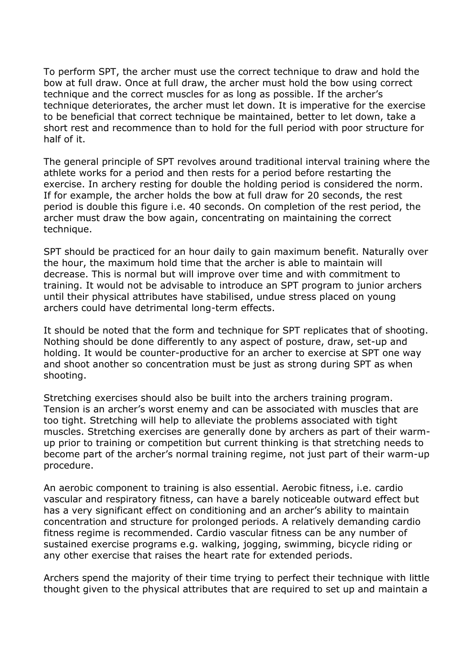To perform SPT, the archer must use the correct technique to draw and hold the bow at full draw. Once at full draw, the archer must hold the bow using correct technique and the correct muscles for as long as possible. If the archer's technique deteriorates, the archer must let down. It is imperative for the exercise to be beneficial that correct technique be maintained, better to let down, take a short rest and recommence than to hold for the full period with poor structure for half of it.

The general principle of SPT revolves around traditional interval training where the athlete works for a period and then rests for a period before restarting the exercise. In archery resting for double the holding period is considered the norm. If for example, the archer holds the bow at full draw for 20 seconds, the rest period is double this figure i.e. 40 seconds. On completion of the rest period, the archer must draw the bow again, concentrating on maintaining the correct technique.

SPT should be practiced for an hour daily to gain maximum benefit. Naturally over the hour, the maximum hold time that the archer is able to maintain will decrease. This is normal but will improve over time and with commitment to training. It would not be advisable to introduce an SPT program to junior archers until their physical attributes have stabilised, undue stress placed on young archers could have detrimental long-term effects.

It should be noted that the form and technique for SPT replicates that of shooting. Nothing should be done differently to any aspect of posture, draw, set-up and holding. It would be counter-productive for an archer to exercise at SPT one way and shoot another so concentration must be just as strong during SPT as when shooting.

Stretching exercises should also be built into the archers training program. Tension is an archer's worst enemy and can be associated with muscles that are too tight. Stretching will help to alleviate the problems associated with tight muscles. Stretching exercises are generally done by archers as part of their warmup prior to training or competition but current thinking is that stretching needs to become part of the archer's normal training regime, not just part of their warm-up procedure.

An aerobic component to training is also essential. Aerobic fitness, i.e. cardio vascular and respiratory fitness, can have a barely noticeable outward effect but has a very significant effect on conditioning and an archer's ability to maintain concentration and structure for prolonged periods. A relatively demanding cardio fitness regime is recommended. Cardio vascular fitness can be any number of sustained exercise programs e.g. walking, jogging, swimming, bicycle riding or any other exercise that raises the heart rate for extended periods.

Archers spend the majority of their time trying to perfect their technique with little thought given to the physical attributes that are required to set up and maintain a